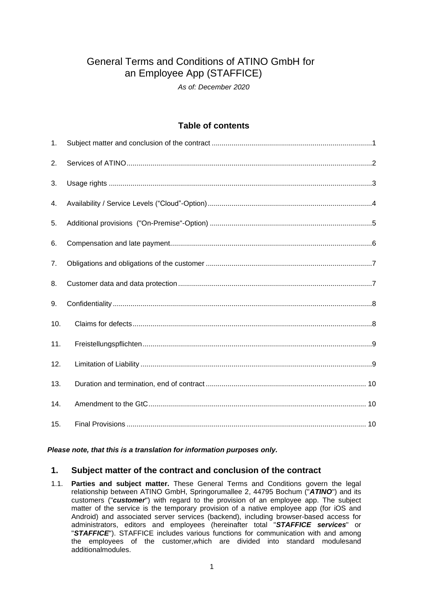# General Terms and Conditions of ATINO GmbH for an Employee App (STAFFICE)

*As of: December 2020*

# **Table of contents**

| 1.  |  |
|-----|--|
| 2.  |  |
| 3.  |  |
| 4.  |  |
| 5.  |  |
| 6.  |  |
| 7.  |  |
| 8.  |  |
| 9.  |  |
| 10. |  |
| 11. |  |
| 12. |  |
| 13. |  |
| 14. |  |
| 15. |  |

#### *Please note, that this is a translation for information purposes only.*

# <span id="page-0-0"></span>**1. Subject matter of the contract and conclusion of the contract**

1.1. **Parties and subject matter.** These General Terms and Conditions govern the legal relationship between ATINO GmbH, Springorumallee 2, 44795 Bochum ("*ATINO*") and its customers ("*customer*") with regard to the provision of an employee app. The subject matter of the service is the temporary provision of a native employee app (for iOS and Android) and associated server services (backend), including browser-based access for administrators, editors and employees (hereinafter total "*STAFFICE services*" or "*STAFFICE*"). STAFFICE includes various functions for communication with and among the employees of the customer,which are divided into standard modulesand additionalmodules.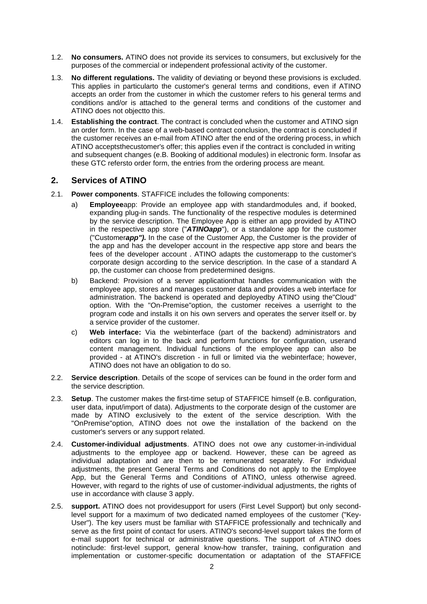- 1.2. **No consumers.** ATINO does not provide its services to consumers, but exclusively for the purposes of the commercial or independent professional activity of the customer.
- 1.3. **No different regulations.** The validity of deviating or beyond these provisions is excluded. This applies in particularto the customer's general terms and conditions, even if ATINO accepts an order from the customer in which the customer refers to his general terms and conditions and/or is attached to the general terms and conditions of the customer and ATINO does not objectto this.
- 1.4. **Establishing the contract**. The contract is concluded when the customer and ATINO sign an order form. In the case of a web-based contract conclusion, the contract is concluded if the customer receives an e-mail from ATINO after the end of the ordering process, in which ATINO acceptsthecustomer's offer; this applies even if the contract is concluded in writing and subsequent changes (e.B. Booking of additional modules) in electronic form. Insofar as these GTC refersto order form, the entries from the ordering process are meant.

#### <span id="page-1-0"></span>**2. Services of ATINO**

- 2.1. **Power components**. STAFFICE includes the following components:
	- a) **Employee**app: Provide an employee app with standardmodules and, if booked, expanding plug-in sands. The functionality of the respective modules is determined by the service description. The Employee App is either an app provided by ATINO in the respective app store ("*ATINOapp*"), or a standalone app for the customer ("Customer*app").* In the case of the Customer App, the Customer is the provider of the app and has the developer account in the respective app store and bears the fees of the developer account . ATINO adapts the customerapp to the customer's corporate design according to the service description. In the case of a standard A pp, the customer can choose from predetermined designs.
	- b) Backend: Provision of a server applicationthat handles communication with the employee app, stores and manages customer data and provides a web interface for administration. The backend is operated and deployedby ATINO using the"Cloud" option. With the "On-Premise"option, the customer receives a userright to the program code and installs it on his own servers and operates the server itself or. by a service provider of the customer.
	- c) **Web interface:** Via the webinterface (part of the backend) administrators and editors can log in to the back and perform functions for configuration, userand content management. Individual functions of the employee app can also be provided - at ATINO's discretion - in full or limited via the webinterface; however, ATINO does not have an obligation to do so.
- 2.2. **Service description**. Details of the scope of services can be found in the order form and the service description.
- 2.3. **Setup**. The customer makes the first-time setup of STAFFICE himself (e.B. configuration, user data, input/import of data). Adjustments to the corporate design of the customer are made by ATINO exclusively to the extent of the service description. With the "OnPremise"option, ATINO does not owe the installation of the backend on the customer's servers or any support related.
- 2.4. **Customer-individual adjustments**. ATINO does not owe any customer-in-individual adjustments to the employee app or backend. However, these can be agreed as individual adaptation and are then to be remunerated separately. For individual adjustments, the present General Terms and Conditions do not apply to the Employee App, but the General Terms and Conditions of ATINO, unless otherwise agreed. However, with regard to the rights of use of customer-individual adjustments, the rights of use in accordance with clause 3 apply.
- 2.5. **support.** ATINO does not providesupport for users (First Level Support) but only secondlevel support for a maximum of two dedicated named employees of the customer ("Key-User"). The key users must be familiar with STAFFICE professionally and technically and serve as the first point of contact for users. ATINO's second-level support takes the form of e-mail support for technical or administrative questions. The support of ATINO does notinclude: first-level support, general know-how transfer, training, configuration and implementation or customer-specific documentation or adaptation of the STAFFICE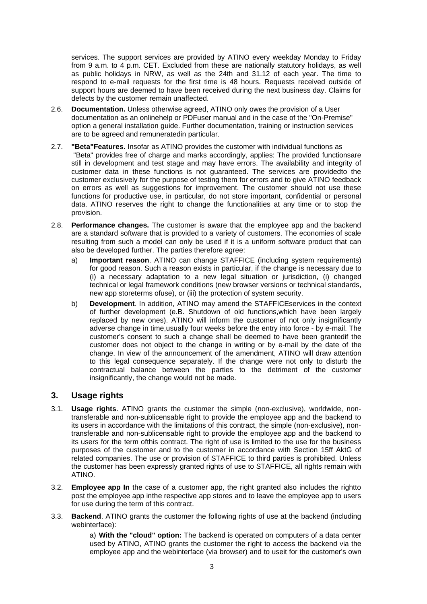services. The support services are provided by ATINO every weekday Monday to Friday from 9 a.m. to 4 p.m. CET. Excluded from these are nationally statutory holidays, as well as public holidays in NRW, as well as the 24th and 31.12 of each year. The time to respond to e-mail requests for the first time is 48 hours. Requests received outside of support hours are deemed to have been received during the next business day. Claims for defects by the customer remain unaffected.

- 2.6. **Documentation.** Unless otherwise agreed, ATINO only owes the provision of a User documentation as an onlinehelp or PDFuser manual and in the case of the "On-Premise" option a general installation guide. Further documentation, training or instruction services are to be agreed and remuneratedin particular.
- 2.7. **"Beta"Features.** Insofar as ATINO provides the customer with individual functions as "Beta" provides free of charge and marks accordingly, applies: The provided functionsare still in development and test stage and may have errors. The availability and integrity of customer data in these functions is not guaranteed. The services are providedto the customer exclusively for the purpose of testing them for errors and to give ATINO feedback on errors as well as suggestions for improvement. The customer should not use these functions for productive use, in particular, do not store important, confidential or personal data. ATINO reserves the right to change the functionalities at any time or to stop the provision.
- 2.8. **Performance changes.** The customer is aware that the employee app and the backend are a standard software that is provided to a variety of customers. The economies of scale resulting from such a model can only be used if it is a uniform software product that can also be developed further. The parties therefore agree:
	- a) **Important reason**. ATINO can change STAFFICE (including system requirements) for good reason. Such a reason exists in particular, if the change is necessary due to (i) a necessary adaptation to a new legal situation or jurisdiction, (i) changed technical or legal framework conditions (new browser versions or technical standards, new app storeterms ofuse), or (iii) the protection of system security.
	- b) **Development**. In addition, ATINO may amend the STAFFICEservices in the context of further development (e.B. Shutdown of old functions,which have been largely replaced by new ones). ATINO will inform the customer of not only insignificantly adverse change in time,usually four weeks before the entry into force - by e-mail. The customer's consent to such a change shall be deemed to have been grantedif the customer does not object to the change in writing or by e-mail by the date of the change. In view of the announcement of the amendment, ATINO will draw attention to this legal consequence separately. If the change were not only to disturb the contractual balance between the parties to the detriment of the customer insignificantly, the change would not be made.

# <span id="page-2-0"></span>**3. Usage rights**

- 3.1. **Usage rights**. ATINO grants the customer the simple (non-exclusive), worldwide, nontransferable and non-sublicensable right to provide the employee app and the backend to its users in accordance with the limitations of this contract, the simple (non-exclusive), nontransferable and non-sublicensable right to provide the employee app and the backend to its users for the term ofthis contract. The right of use is limited to the use for the business purposes of the customer and to the customer in accordance with Section 15ff AktG of related companies. The use or provision of STAFFICE to third parties is prohibited. Unless the customer has been expressly granted rights of use to STAFFICE, all rights remain with ATINO.
- 3.2. **Employee app In** the case of a customer app, the right granted also includes the rightto post the employee app inthe respective app stores and to leave the employee app to users for use during the term of this contract.
- 3.3. **Backend**. ATINO grants the customer the following rights of use at the backend (including webinterface):

a) **With the "cloud" option:** The backend is operated on computers of a data center used by ATINO, ATINO grants the customer the right to access the backend via the employee app and the webinterface (via browser) and to useit for the customer's own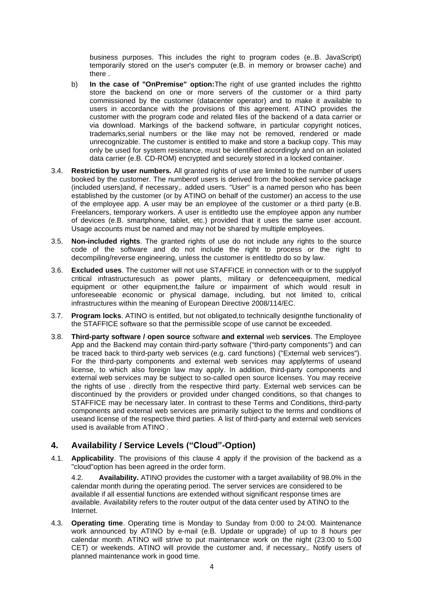business purposes. This includes the right to program codes (e..B. JavaScript) temporarily stored on the user's computer (e.B. in memory or browser cache) and there .

- b) **In the case of "OnPremise" option:**The right of use granted includes the rightto store the backend on one or more servers of the customer or a third party commissioned by the customer (datacenter operator) and to make it available to users in accordance with the provisions of this agreement. ATINO provides the customer with the program code and related files of the backend of a data carrier or via download. Markings of the backend software, in particular copyright notices, trademarks,serial numbers or the like may not be removed, rendered or made unrecognizable. The customer is entitled to make and store a backup copy. This may only be used for system resistance, must be identified accordingly and on an isolated data carrier (e.B. CD-ROM) encrypted and securely stored in a locked container.
- 3.4. **Restriction by user numbers.** All granted rights of use are limited to the number of users booked by the customer. The numberof users is derived from the booked service package (included users)and, if necessary,. added users. "User" is a named person who has been established by the customer (or by ATINO on behalf of the customer) an access to the use of the employee app. A user may be an employee of the customer or a third party (e.B. Freelancers, temporary workers. A user is entitledto use the employee appon any number of devices (e.B. smartphone, tablet, etc.) provided that it uses the same user account. Usage accounts must be named and may not be shared by multiple employees.
- 3.5. **Non-included rights**. The granted rights of use do not include any rights to the source code of the software and do not include the right to process or the right to decompiling/reverse engineering, unless the customer is entitledto do so by law.
- 3.6. **Excluded uses**. The customer will not use STAFFICE in connection with or to the supplyof critical infrastructuresuch as power plants, military or defenceequipment, medical equipment or other equipment,the failure or impairment of which would result in unforeseeable economic or physical damage, including, but not limited to, critical infrastructures within the meaning of European Directive 2008/114/EC.
- 3.7. **Program locks**. ATINO is entitled, but not obligated,to technically designthe functionality of the STAFFICE software so that the permissible scope of use cannot be exceeded.
- 3.8. **Third-party software / open source** software **and external** web **services**. The Employee App and the Backend may contain third-party software ("third-party components") and can be traced back to third-party web services (e.g. card functions) ("External web services"). For the third-party components and external web services may applyterms of useand license, to which also foreign law may apply. In addition, third-party components and external web services may be subject to so-called open source licenses. You may receive the rights of use . directly from the respective third party. External web services can be discontinued by the providers or provided under changed conditions, so that changes to STAFFICE may be necessary later. In contrast to these Terms and Conditions, third-party components and external web services are primarily subject to the terms and conditions of useand license of the respective third parties. A list of third-party and external web services used is available from ATINO .

## <span id="page-3-0"></span>**4. Availability / Service Levels ("Cloud"-Option)**

4.1. **Applicability**. The provisions of this clause 4 apply if the provision of the backend as a "cloud"option has been agreed in the order form.

4.2. **Availability.** ATINO provides the customer with a target availability of 98.0% in the calendar month during the operating period. The server services are considered to be available if all essential functions are extended without significant response times are available. Availability refers to the router output of the data center used by ATINO to the Internet.

4.3. **Operating time**. Operating time is Monday to Sunday from 0:00 to 24:00. Maintenance work announced by ATINO by e-mail (e.B. Update or upgrade) of up to 8 hours per calendar month. ATINO will strive to put maintenance work on the night (23:00 to 5:00 CET) or weekends. ATINO will provide the customer and, if necessary,. Notify users of planned maintenance work in good time.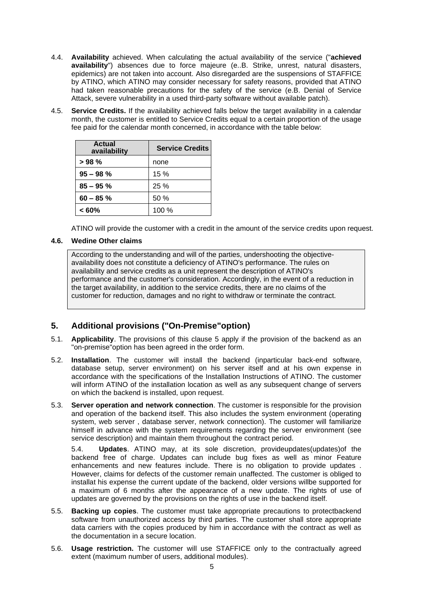- 4.4. **Availability** achieved. When calculating the actual availability of the service ("**achieved availability**") absences due to force majeure (e..B. Strike, unrest, natural disasters, epidemics) are not taken into account. Also disregarded are the suspensions of STAFFICE by ATINO, which ATINO may consider necessary for safety reasons, provided that ATINO had taken reasonable precautions for the safety of the service (e.B. Denial of Service Attack, severe vulnerability in a used third-party software without available patch).
- 4.5. **Service Credits.** If the availability achieved falls below the target availability in a calendar month, the customer is entitled to Service Credits equal to a certain proportion of the usage fee paid for the calendar month concerned, in accordance with the table below:

| Actual<br>availability | <b>Service Credits</b> |
|------------------------|------------------------|
| >98%                   | none                   |
| $95 - 98$ %            | 15%                    |
| $85 - 95%$             | 25%                    |
| $60 - 85%$             | 50%                    |
| $< 60\%$               | 100 %                  |

ATINO will provide the customer with a credit in the amount of the service credits upon request.

#### **4.6. Wedine Other claims**

According to the understanding and will of the parties, undershooting the objectiveavailability does not constitute a deficiency of ATINO's performance. The rules on availability and service credits as a unit represent the description of ATINO's performance and the customer's consideration. Accordingly, in the event of a reduction in the target availability, in addition to the service credits, there are no claims of the customer for reduction, damages and no right to withdraw or terminate the contract.

# <span id="page-4-0"></span>**5. Additional provisions ("On-Premise"option)**

- 5.1. **Applicability**. The provisions of this clause 5 apply if the provision of the backend as an "on-premise"option has been agreed in the order form.
- 5.2. **Installation**. The customer will install the backend (inparticular back-end software, database setup, server environment) on his server itself and at his own expense in accordance with the specifications of the Installation Instructions of ATINO. The customer will inform ATINO of the installation location as well as any subsequent change of servers on which the backend is installed, upon request.
- 5.3. **Server operation and network connection**. The customer is responsible for the provision and operation of the backend itself. This also includes the system environment (operating system, web server , database server, network connection). The customer will familiarize himself in advance with the system requirements regarding the server environment (see service description) and maintain them throughout the contract period.

5.4. **Updates**. ATINO may, at its sole discretion, provideupdates(updates)of the backend free of charge. Updates can include bug fixes as well as minor Feature enhancements and new features include. There is no obligation to provide updates . However, claims for defects of the customer remain unaffected. The customer is obliged to installat his expense the current update of the backend, older versions willbe supported for a maximum of 6 months after the appearance of a new update. The rights of use of updates are governed by the provisions on the rights of use in the backend itself.

- 5.5. **Backing up copies**. The customer must take appropriate precautions to protectbackend software from unauthorized access by third parties. The customer shall store appropriate data carriers with the copies produced by him in accordance with the contract as well as the documentation in a secure location.
- 5.6. **Usage restriction.** The customer will use STAFFICE only to the contractually agreed extent (maximum number of users, additional modules).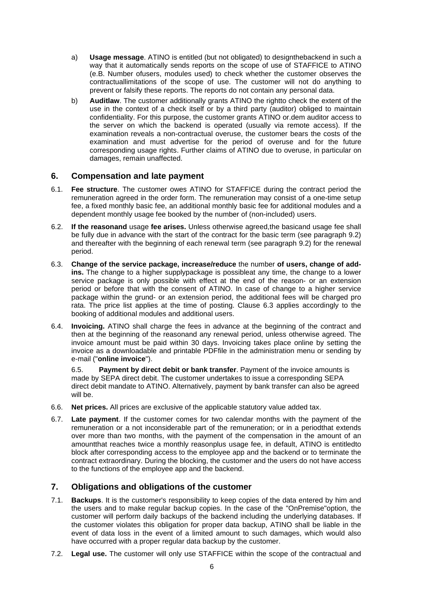- a) **Usage message**. ATINO is entitled (but not obligated) to designthebackend in such a way that it automatically sends reports on the scope of use of STAFFICE to ATINO (e.B. Number ofusers, modules used) to check whether the customer observes the contractuallimitations of the scope of use. The customer will not do anything to prevent or falsify these reports. The reports do not contain any personal data.
- b) **Auditlaw**. The customer additionally grants ATINO the rightto check the extent of the use in the context of a check itself or by a third party (auditor) obliged to maintain confidentiality. For this purpose, the customer grants ATINO or.dem auditor access to the server on which the backend is operated (usually via remote access). If the examination reveals a non-contractual overuse, the customer bears the costs of the examination and must advertise for the period of overuse and for the future corresponding usage rights. Further claims of ATINO due to overuse, in particular on damages, remain unaffected.

## <span id="page-5-0"></span>**6. Compensation and late payment**

- 6.1. **Fee structure**. The customer owes ATINO for STAFFICE during the contract period the remuneration agreed in the order form. The remuneration may consist of a one-time setup fee, a fixed monthly basic fee, an additional monthly basic fee for additional modules and a dependent monthly usage fee booked by the number of (non-included) users.
- 6.2. **If the reasonand** usage **fee arises.** Unless otherwise agreed,the basicand usage fee shall be fully due in advance with the start of the contract for the basic term (see paragraph 9.2) and thereafter with the beginning of each renewal term (see paragraph 9.2) for the renewal period.
- 6.3. **Change of the service package, increase/reduce** the number **of users, change of addins.** The change to a higher supplypackage is possibleat any time, the change to a lower service package is only possible with effect at the end of the reason- or an extension period or before that with the consent of ATINO. In case of change to a higher service package within the grund- or an extension period, the additional fees will be charged pro rata. The price list applies at the time of posting. Clause 6.3 applies accordingly to the booking of additional modules and additional users.
- 6.4. **Invoicing.** ATINO shall charge the fees in advance at the beginning of the contract and then at the beginning of the reasonand any renewal period, unless otherwise agreed. The invoice amount must be paid within 30 days. Invoicing takes place online by setting the invoice as a downloadable and printable PDFfile in the administration menu or sending by e-mail ("**online invoice**").

6.5. **Payment by direct debit or bank transfer**. Payment of the invoice amounts is made by SEPA direct debit. The customer undertakes to issue a corresponding SEPA direct debit mandate to ATINO. Alternatively, payment by bank transfer can also be agreed will be.

- 6.6. **Net prices.** All prices are exclusive of the applicable statutory value added tax.
- 6.7. **Late payment**. If the customer comes for two calendar months with the payment of the remuneration or a not inconsiderable part of the remuneration; or in a periodthat extends over more than two months, with the payment of the compensation in the amount of an amountthat reaches twice a monthly reasonplus usage fee, in default, ATINO is entitledto block after corresponding access to the employee app and the backend or to terminate the contract extraordinary. During the blocking, the customer and the users do not have access to the functions of the employee app and the backend.

## <span id="page-5-1"></span>**7. Obligations and obligations of the customer**

- 7.1. **Backups**. It is the customer's responsibility to keep copies of the data entered by him and the users and to make regular backup copies. In the case of the "OnPremise"option, the customer will perform daily backups of the backend including the underlying databases. If the customer violates this obligation for proper data backup, ATINO shall be liable in the event of data loss in the event of a limited amount to such damages, which would also have occurred with a proper regular data backup by the customer.
- 7.2. **Legal use.** The customer will only use STAFFICE within the scope of the contractual and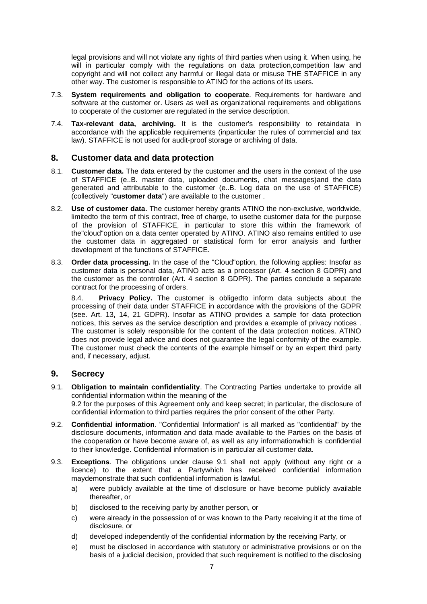legal provisions and will not violate any rights of third parties when using it. When using, he will in particular comply with the regulations on data protection, competition law and copyright and will not collect any harmful or illegal data or misuse THE STAFFICE in any other way. The customer is responsible to ATINO for the actions of its users.

- 7.3. **System requirements and obligation to cooperate**. Requirements for hardware and software at the customer or. Users as well as organizational requirements and obligations to cooperate of the customer are regulated in the service description.
- 7.4. **Tax-relevant data, archiving.** It is the customer's responsibility to retaindata in accordance with the applicable requirements (inparticular the rules of commercial and tax law). STAFFICE is not used for audit-proof storage or archiving of data.

## <span id="page-6-0"></span>**8. Customer data and data protection**

- 8.1. **Customer data.** The data entered by the customer and the users in the context of the use of STAFFICE (e..B. master data, uploaded documents, chat messages)and the data generated and attributable to the customer (e..B. Log data on the use of STAFFICE) (collectively "**customer data**") are available to the customer .
- 8.2. **Use of customer data.** The customer hereby grants ATINO the non-exclusive, worldwide, limitedto the term of this contract, free of charge, to usethe customer data for the purpose of the provision of STAFFICE, in particular to store this within the framework of the"cloud"option on a data center operated by ATINO. ATINO also remains entitled to use the customer data in aggregated or statistical form for error analysis and further development of the functions of STAFFICE.
- 8.3. **Order data processing.** In the case of the "Cloud"option, the following applies: Insofar as customer data is personal data, ATINO acts as a processor (Art. 4 section 8 GDPR) and the customer as the controller (Art. 4 section 8 GDPR). The parties conclude a separate contract for the processing of orders.

8.4. **Privacy Policy.** The customer is obligedto inform data subjects about the processing of their data under STAFFICE in accordance with the provisions of the GDPR (see. Art. 13, 14, 21 GDPR). Insofar as ATINO provides a sample for data protection notices, this serves as the service description and provides a example of privacy notices . The customer is solely responsible for the content of the data protection notices. ATINO does not provide legal advice and does not guarantee the legal conformity of the example. The customer must check the contents of the example himself or by an expert third party and, if necessary, adjust.

## <span id="page-6-1"></span>**9. Secrecy**

- 9.1. **Obligation to maintain confidentiality**. The Contracting Parties undertake to provide all confidential information within the meaning of the 9.2 for the purposes of this Agreement only and keep secret; in particular, the disclosure of confidential information to third parties requires the prior consent of the other Party.
- 9.2. **Confidential information**. "Confidential Information" is all marked as "confidential" by the disclosure documents, information and data made available to the Parties on the basis of the cooperation or have become aware of, as well as any informationwhich is confidential to their knowledge. Confidential information is in particular all customer data.
- 9.3. **Exceptions**. The obligations under clause 9.1 shall not apply (without any right or a licence) to the extent that a Partywhich has received confidential information maydemonstrate that such confidential information is lawful.
	- a) were publicly available at the time of disclosure or have become publicly available thereafter, or
	- b) disclosed to the receiving party by another person, or
	- c) were already in the possession of or was known to the Party receiving it at the time of disclosure, or
	- d) developed independently of the confidential information by the receiving Party, or
	- e) must be disclosed in accordance with statutory or administrative provisions or on the basis of a judicial decision, provided that such requirement is notified to the disclosing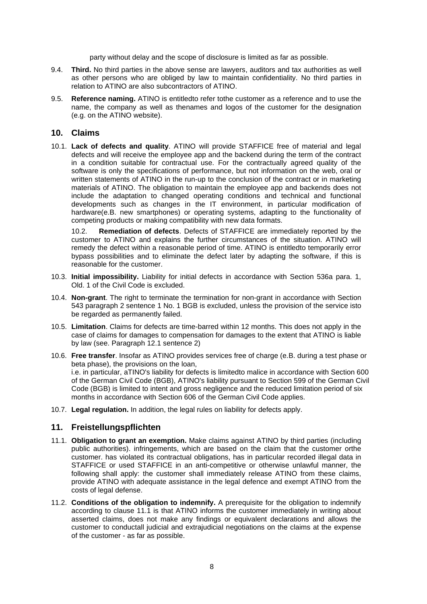party without delay and the scope of disclosure is limited as far as possible.

- 9.4. **Third.** No third parties in the above sense are lawyers, auditors and tax authorities as well as other persons who are obliged by law to maintain confidentiality. No third parties in relation to ATINO are also subcontractors of ATINO.
- 9.5. **Reference naming.** ATINO is entitledto refer tothe customer as a reference and to use the name, the company as well as thenames and logos of the customer for the designation (e.g. on the ATINO website).

#### <span id="page-7-0"></span>**10. Claims**

10.1. **Lack of defects and quality**. ATINO will provide STAFFICE free of material and legal defects and will receive the employee app and the backend during the term of the contract in a condition suitable for contractual use. For the contractually agreed quality of the software is only the specifications of performance, but not information on the web, oral or written statements of ATINO in the run-up to the conclusion of the contract or in marketing materials of ATINO. The obligation to maintain the employee app and backends does not include the adaptation to changed operating conditions and technical and functional developments such as changes in the IT environment, in particular modification of hardware(e.B. new smartphones) or operating systems, adapting to the functionality of competing products or making compatibility with new data formats.

10.2. **Remediation of defects**. Defects of STAFFICE are immediately reported by the customer to ATINO and explains the further circumstances of the situation. ATINO will remedy the defect within a reasonable period of time. ATINO is entitledto temporarily error bypass possibilities and to eliminate the defect later by adapting the software, if this is reasonable for the customer.

- 10.3. **Initial impossibility.** Liability for initial defects in accordance with Section 536a para. 1, Old. 1 of the Civil Code is excluded.
- 10.4. **Non-grant**. The right to terminate the termination for non-grant in accordance with Section 543 paragraph 2 sentence 1 No. 1 BGB is excluded, unless the provision of the service isto be regarded as permanently failed.
- 10.5. **Limitation**. Claims for defects are time-barred within 12 months. This does not apply in the case of claims for damages to compensation for damages to the extent that ATINO is liable by law (see. Paragraph 12.1 sentence 2)
- 10.6. **Free transfer**. Insofar as ATINO provides services free of charge (e.B. during a test phase or beta phase), the provisions on the loan, i.e. in particular, aTINO's liability for defects is limitedto malice in accordance with Section 600 of the German Civil Code (BGB), ATINO's liability pursuant to Section 599 of the German Civil Code (BGB) is limited to intent and gross negligence and the reduced limitation period of six months in accordance with Section 606 of the German Civil Code applies.
- 10.7. **Legal regulation.** In addition, the legal rules on liability for defects apply.

## <span id="page-7-1"></span>**11. Freistellungspflichten**

- 11.1. **Obligation to grant an exemption.** Make claims against ATINO by third parties (including public authorities). infringements, which are based on the claim that the customer orthe customer. has violated its contractual obligations, has in particular recorded illegal data in STAFFICE or used STAFFICE in an anti-competitive or otherwise unlawful manner, the following shall apply: the customer shall immediately release ATINO from these claims, provide ATINO with adequate assistance in the legal defence and exempt ATINO from the costs of legal defense.
- 11.2. **Conditions of the obligation to indemnify.** A prerequisite for the obligation to indemnify according to clause 11.1 is that ATINO informs the customer immediately in writing about asserted claims, does not make any findings or equivalent declarations and allows the customer to conductall judicial and extrajudicial negotiations on the claims at the expense of the customer - as far as possible.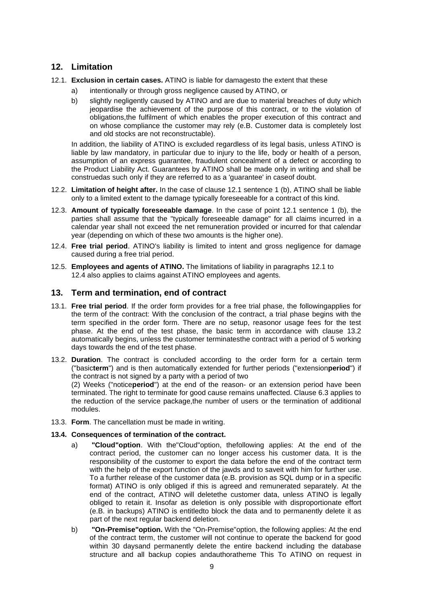## <span id="page-8-0"></span>**12. Limitation**

- 12.1. **Exclusion in certain cases.** ATINO is liable for damagesto the extent that these
	- a) intentionally or through gross negligence caused by ATINO, or
	- b) slightly negligently caused by ATINO and are due to material breaches of duty which jeopardise the achievement of the purpose of this contract, or to the violation of obligations,the fulfilment of which enables the proper execution of this contract and on whose compliance the customer may rely (e.B. Customer data is completely lost and old stocks are not reconstructable).

In addition, the liability of ATINO is excluded regardless of its legal basis, unless ATINO is liable by law mandatory, in particular due to injury to the life, body or health of a person, assumption of an express guarantee, fraudulent concealment of a defect or according to the Product Liability Act. Guarantees by ATINO shall be made only in writing and shall be construedas such only if they are referred to as a 'guarantee' in caseof doubt.

- 12.2. **Limitation of height after.** In the case of clause 12.1 sentence 1 (b), ATINO shall be liable only to a limited extent to the damage typically foreseeable for a contract of this kind.
- 12.3. **Amount of typically foreseeable damage**. In the case of point 12.1 sentence 1 (b), the parties shall assume that the "typically foreseeable damage" for all claims incurred in a calendar year shall not exceed the net remuneration provided or incurred for that calendar year (depending on which of these two amounts is the higher one).
- 12.4. **Free trial period**. ATINO's liability is limited to intent and gross negligence for damage caused during a free trial period.
- 12.5. **Employees and agents of ATINO.** The limitations of liability in paragraphs 12.1 to 12.4 also applies to claims against ATINO employees and agents.

#### <span id="page-8-1"></span>**13. Term and termination, end of contract**

- 13.1. **Free trial period**. If the order form provides for a free trial phase, the followingapplies for the term of the contract: With the conclusion of the contract, a trial phase begins with the term specified in the order form. There are no setup, reasonor usage fees for the test phase. At the end of the test phase, the basic term in accordance with clause 13.2 automatically begins, unless the customer terminatesthe contract with a period of 5 working days towards the end of the test phase.
- 13.2. **Duration**. The contract is concluded according to the order form for a certain term ("basic**term**") and is then automatically extended for further periods ("extension**period**") if the contract is not signed by a party with a period of two

(2) Weeks ("notice**period**") at the end of the reason- or an extension period have been terminated. The right to terminate for good cause remains unaffected. Clause 6.3 applies to the reduction of the service package, the number of users or the termination of additional modules.

13.3. **Form**. The cancellation must be made in writing.

#### **13.4. Consequences of termination of the contract.**

- a) **"Cloud"option**. With the"Cloud"option, thefollowing applies: At the end of the contract period, the customer can no longer access his customer data. It is the responsibility of the customer to export the data before the end of the contract term with the help of the export function of the jawds and to saveit with him for further use. To a further release of the customer data (e.B. provision as SQL dump or in a specific format) ATINO is only obliged if this is agreed and remunerated separately. At the end of the contract, ATINO will deletethe customer data, unless ATINO is legally obliged to retain it. Insofar as deletion is only possible with disproportionate effort (e.B. in backups) ATINO is entitledto block the data and to permanently delete it as part of the next regular backend deletion.
- b) **"On-Premise"option.** With the "On-Premise"option, the following applies: At the end of the contract term, the customer will not continue to operate the backend for good within 30 daysand permanently delete the entire backend including the database structure and all backup copies andauthoratheme This To ATINO on request in